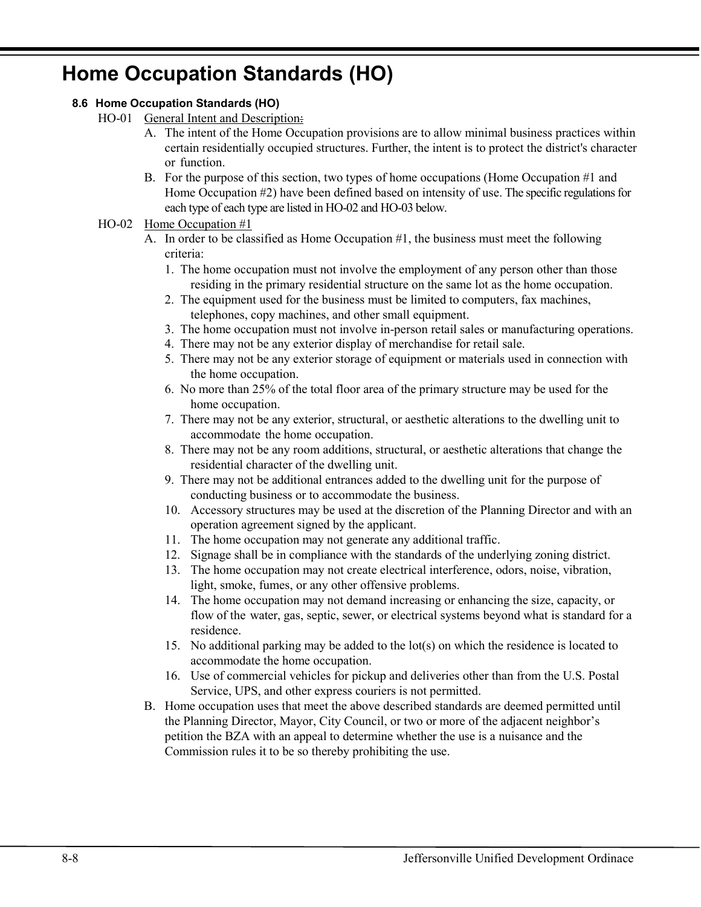# **Home Occupation Standards (HO)**

### **8.6 Home Occupation Standards (HO)**

- HO-01 General Intent and Description:
	- A. The intent of the Home Occupation provisions are to allow minimal business practices within certain residentially occupied structures. Further, the intent is to protect the district's character or function.
	- B. For the purpose of this section, two types of home occupations (Home Occupation #1 and Home Occupation #2) have been defined based on intensity of use. The specific regulations for each type of each type are listed in HO-02 and HO-03 below.

### HO-02 Home Occupation #1

- A. In order to be classified as Home Occupation #1, the business must meet the following criteria:
	- 1. The home occupation must not involve the employment of any person other than those residing in the primary residential structure on the same lot as the home occupation.
	- 2. The equipment used for the business must be limited to computers, fax machines, telephones, copy machines, and other small equipment.
	- 3. The home occupation must not involve in-person retail sales or manufacturing operations.
	- 4. There may not be any exterior display of merchandise for retail sale.
	- 5. There may not be any exterior storage of equipment or materials used in connection with the home occupation.
	- 6. No more than 25% of the total floor area of the primary structure may be used for the home occupation.
	- 7. There may not be any exterior, structural, or aesthetic alterations to the dwelling unit to accommodate the home occupation.
	- 8. There may not be any room additions, structural, or aesthetic alterations that change the residential character of the dwelling unit.
	- 9. There may not be additional entrances added to the dwelling unit for the purpose of conducting business or to accommodate the business.
	- 10. Accessory structures may be used at the discretion of the Planning Director and with an operation agreement signed by the applicant.
	- 11. The home occupation may not generate any additional traffic.
	- 12. Signage shall be in compliance with the standards of the underlying zoning district.
	- 13. The home occupation may not create electrical interference, odors, noise, vibration, light, smoke, fumes, or any other offensive problems.
	- 14. The home occupation may not demand increasing or enhancing the size, capacity, or flow of the water, gas, septic, sewer, or electrical systems beyond what is standard for a residence.
	- 15. No additional parking may be added to the lot(s) on which the residence is located to accommodate the home occupation.
	- 16. Use of commercial vehicles for pickup and deliveries other than from the U.S. Postal Service, UPS, and other express couriers is not permitted.
- B. Home occupation uses that meet the above described standards are deemed permitted until the Planning Director, Mayor, City Council, or two or more of the adjacent neighbor's petition the BZA with an appeal to determine whether the use is a nuisance and the Commission rules it to be so thereby prohibiting the use.